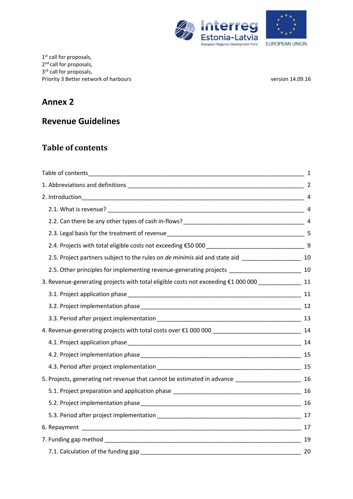

1<sup>st</sup> call for proposals, 2<sup>nd</sup> call for proposals, 3<sup>rd</sup> call for proposals, Priority 3 Better network of harbours and the state of the state of the version 14.09.16

# **Annex 2**

# **Revenue Guidelines**

# **Table of contents**

| 2.5. Project partners subject to the rules on de minimis aid and state aid _________________________ 10 |  |  |
|---------------------------------------------------------------------------------------------------------|--|--|
| 2.5. Other principles for implementing revenue-generating projects ________________________________ 10  |  |  |
| 3. Revenue-generating projects with total eligible costs not exceeding €1 000 000 ________________ 11   |  |  |
|                                                                                                         |  |  |
|                                                                                                         |  |  |
|                                                                                                         |  |  |
|                                                                                                         |  |  |
|                                                                                                         |  |  |
|                                                                                                         |  |  |
|                                                                                                         |  |  |
| 5. Projects, generating net revenue that cannot be estimated in advance ____________________________ 16 |  |  |
|                                                                                                         |  |  |
|                                                                                                         |  |  |
|                                                                                                         |  |  |
|                                                                                                         |  |  |
|                                                                                                         |  |  |
|                                                                                                         |  |  |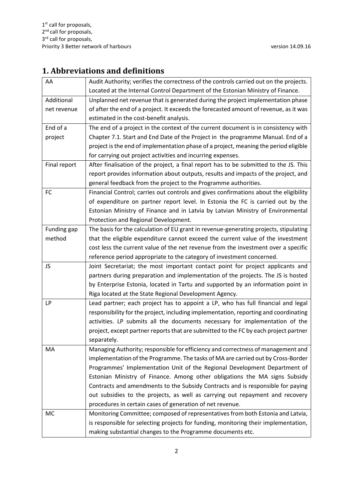# **1. Abbreviations and definitions**

| AA           | Audit Authority; verifies the correctness of the controls carried out on the projects. |
|--------------|----------------------------------------------------------------------------------------|
|              | Located at the Internal Control Department of the Estonian Ministry of Finance.        |
| Additional   | Unplanned net revenue that is generated during the project implementation phase        |
| net revenue  | of after the end of a project. It exceeds the forecasted amount of revenue, as it was  |
|              | estimated in the cost-benefit analysis.                                                |
| End of a     | The end of a project in the context of the current document is in consistency with     |
| project      | Chapter 7.1. Start and End Date of the Project in the programme Manual. End of a       |
|              | project is the end of implementation phase of a project, meaning the period eligible   |
|              | for carrying out project activities and incurring expenses.                            |
| Final report | After finalisation of the project, a final report has to be submitted to the JS. This  |
|              | report provides information about outputs, results and impacts of the project, and     |
|              | general feedback from the project to the Programme authorities.                        |
| FC           | Financial Control; carries out controls and gives confirmations about the eligibility  |
|              | of expenditure on partner report level. In Estonia the FC is carried out by the        |
|              | Estonian Ministry of Finance and in Latvia by Latvian Ministry of Environmental        |
|              | Protection and Regional Development.                                                   |
| Funding gap  | The basis for the calculation of EU grant in revenue-generating projects, stipulating  |
| method       | that the eligible expenditure cannot exceed the current value of the investment        |
|              | cost less the current value of the net revenue from the investment over a specific     |
|              | reference period appropriate to the category of investment concerned.                  |
| JS           | Joint Secretariat; the most important contact point for project applicants and         |
|              | partners during preparation and implementation of the projects. The JS is hosted       |
|              | by Enterprise Estonia, located in Tartu and supported by an information point in       |
|              | Riga located at the State Regional Development Agency.                                 |
| LP           | Lead partner; each project has to appoint a LP, who has full financial and legal       |
|              | responsibility for the project, including implementation, reporting and coordinating   |
|              | activities. LP submits all the documents necessary for implementation of the           |
|              | project, except partner reports that are submitted to the FC by each project partner   |
|              | separately.                                                                            |
| MA           | Managing Authority; responsible for efficiency and correctness of management and       |
|              | implementation of the Programme. The tasks of MA are carried out by Cross-Border       |
|              | Programmes' Implementation Unit of the Regional Development Department of              |
|              | Estonian Ministry of Finance. Among other obligations the MA signs Subsidy             |
|              | Contracts and amendments to the Subsidy Contracts and is responsible for paying        |
|              | out subsidies to the projects, as well as carrying out repayment and recovery          |
|              | procedures in certain cases of generation of net revenue.                              |
| MC           | Monitoring Committee; composed of representatives from both Estonia and Latvia,        |
|              | is responsible for selecting projects for funding, monitoring their implementation,    |
|              | making substantial changes to the Programme documents etc.                             |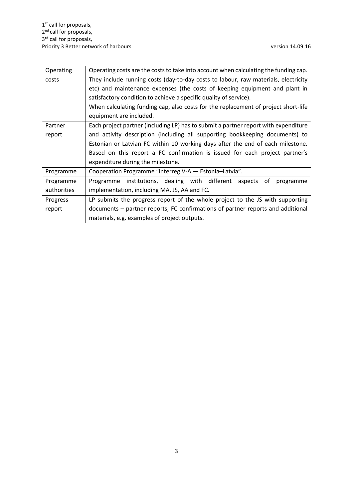| Operating   | Operating costs are the costs to take into account when calculating the funding cap. |  |  |
|-------------|--------------------------------------------------------------------------------------|--|--|
| costs       | They include running costs (day-to-day costs to labour, raw materials, electricity   |  |  |
|             | etc) and maintenance expenses (the costs of keeping equipment and plant in           |  |  |
|             | satisfactory condition to achieve a specific quality of service).                    |  |  |
|             | When calculating funding cap, also costs for the replacement of project short-life   |  |  |
|             | equipment are included.                                                              |  |  |
| Partner     | Each project partner (including LP) has to submit a partner report with expenditure  |  |  |
| report      | and activity description (including all supporting bookkeeping documents) to         |  |  |
|             | Estonian or Latvian FC within 10 working days after the end of each milestone.       |  |  |
|             | Based on this report a FC confirmation is issued for each project partner's          |  |  |
|             | expenditure during the milestone.                                                    |  |  |
| Programme   | Cooperation Programme "Interreg V-A - Estonia-Latvia".                               |  |  |
| Programme   | Programme institutions, dealing with different aspects of<br>programme               |  |  |
| authorities | implementation, including MA, JS, AA and FC.                                         |  |  |
| Progress    | LP submits the progress report of the whole project to the JS with supporting        |  |  |
| report      | documents - partner reports, FC confirmations of partner reports and additional      |  |  |
|             | materials, e.g. examples of project outputs.                                         |  |  |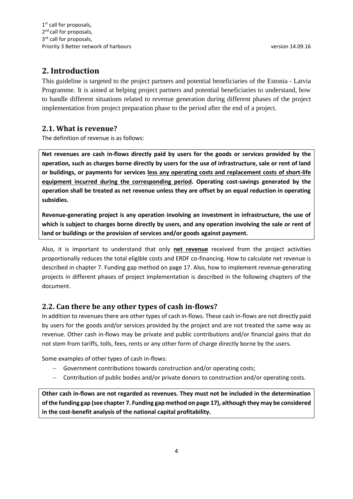# **2. Introduction**

This guideline is targeted to the project partners and potential beneficiaries of the Estonia - Latvia Programme. It is aimed at helping project partners and potential beneficiaries to understand, how to handle different situations related to revenue generation during different phases of the project implementation from project preparation phase to the period after the end of a project.

## **2.1. What is revenue?**

The definition of revenue is as follows:

**Net revenues are cash in-flows directly paid by users for the goods or services provided by the operation, such as charges borne directly by users for the use of infrastructure, sale or rent of land or buildings, or payments for services less any operating costs and replacement costs of short-life equipment incurred during the corresponding period. Operating cost-savings generated by the operation shall be treated as net revenue unless they are offset by an equal reduction in operating subsidies.**

**Revenue-generating project is any operation involving an investment in infrastructure, the use of which is subject to charges borne directly by users, and any operation involving the sale or rent of land or buildings or the provision of services and/or goods against payment.**

Also, it is important to understand that only **net revenue** received from the project activities proportionally reduces the total eligible costs and ERDF co-financing. How to calculate net revenue is described in chapter 7. Funding gap method on page 17. Also, how to implement revenue-generating projects in different phases of project implementation is described in the following chapters of the document.

## **2.2. Can there be any other types of cash in-flows?**

In addition to revenues there are other types of cash in-flows. These cash in-flows are not directly paid by users for the goods and/or services provided by the project and are not treated the same way as revenue. Other cash in-flows may be private and public contributions and/or financial gains that do not stem from tariffs, tolls, fees, rents or any other form of charge directly borne by the users.

Some examples of other types of cash in-flows:

- Government contributions towards construction and/or operating costs;
- Contribution of public bodies and/or private donors to construction and/or operating costs.

**Other cash in-flows are not regarded as revenues. They must not be included in the determination of the funding gap (see chapter 7. Funding gap method on page 17), although they may be considered in the cost-benefit analysis of the national capital profitability.**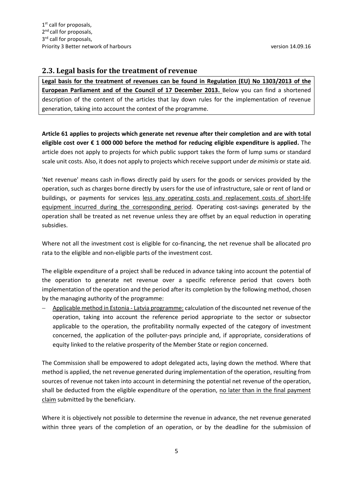### **2.3. Legal basis for the treatment of revenue**

**Legal basis for the treatment of revenues can be found in Regulation (EU) No 1303/2013 of the European Parliament and of the Council of 17 December 2013.** Below you can find a shortened description of the content of the articles that lay down rules for the implementation of revenue generation, taking into account the context of the programme.

**Article 61 applies to projects which generate net revenue after their completion and are with total eligible cost over € 1 000 000 before the method for reducing eligible expenditure is applied.** The article does not apply to projects for which public support takes the form of lump sums or standard scale unit costs. Also, it does not apply to projects which receive support under *de minimis* or state aid.

'Net revenue' means cash in-flows directly paid by users for the goods or services provided by the operation, such as charges borne directly by users for the use of infrastructure, sale or rent of land or buildings, or payments for services less any operating costs and replacement costs of short-life equipment incurred during the corresponding period. Operating cost-savings generated by the operation shall be treated as net revenue unless they are offset by an equal reduction in operating subsidies.

Where not all the investment cost is eligible for co-financing, the net revenue shall be allocated pro rata to the eligible and non-eligible parts of the investment cost.

The eligible expenditure of a project shall be reduced in advance taking into account the potential of the operation to generate net revenue over a specific reference period that covers both implementation of the operation and the period after its completion by the following method, chosen by the managing authority of the programme:

 Applicable method in Estonia - Latvia programme: calculation of the discounted net revenue of the operation, taking into account the reference period appropriate to the sector or subsector applicable to the operation, the profitability normally expected of the category of investment concerned, the application of the polluter-pays principle and, if appropriate, considerations of equity linked to the relative prosperity of the Member State or region concerned.

The Commission shall be empowered to adopt delegated acts, laying down the method. Where that method is applied, the net revenue generated during implementation of the operation, resulting from sources of revenue not taken into account in determining the potential net revenue of the operation, shall be deducted from the eligible expenditure of the operation, no later than in the final payment claim submitted by the beneficiary.

Where it is objectively not possible to determine the revenue in advance, the net revenue generated within three years of the completion of an operation, or by the deadline for the submission of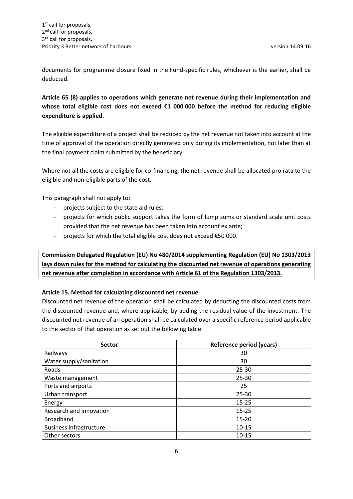documents for programme closure fixed in the Fund-specific rules, whichever is the earlier, shall be deducted.

**Article 65 (8) applies to operations which generate net revenue during their implementation and whose total eligible cost does not exceed €1 000 000 before the method for reducing eligible expenditure is applied.** 

The eligible expenditure of a project shall be reduced by the net revenue not taken into account at the time of approval of the operation directly generated only during its implementation, not later than at the final payment claim submitted by the beneficiary.

Where not all the costs are eligible for co-financing, the net revenue shall be allocated pro rata to the eligible and non-eligible parts of the cost.

This paragraph shall not apply to:

- $-$  projects subject to the state aid rules;
- projects for which public support takes the form of lump sums or standard scale unit costs provided that the net revenue has been taken into account ex ante;
- $−$  projects for which the total eligible cost does not exceed  $€50000$ .

**Commission Delegated Regulation (EU) No 480/2014 supplementing Regulation (EU) No 1303/2013 lays down rules for the method for calculating the discounted net revenue of operations generating net revenue after completion in accordance with Article 61 of the Regulation 1303/2013.**

### **Article 15. Method for calculating discounted net revenue**

Discounted net revenue of the operation shall be calculated by deducting the discounted costs from the discounted revenue and, where applicable, by adding the residual value of the investment. The discounted net revenue of an operation shall be calculated over a specific reference period applicable to the sector of that operation as set out the following table:

| <b>Sector</b>                  | Reference period (years) |
|--------------------------------|--------------------------|
| Railways                       | 30                       |
| Water supply/sanitation        | 30                       |
| Roads                          | $25 - 30$                |
| Waste management               | $25 - 30$                |
| Ports and airports             | 25                       |
| Urban transport                | 25-30                    |
| Energy                         | $15 - 25$                |
| Research and innovation        | $15 - 25$                |
| <b>Broadband</b>               | $15 - 20$                |
| <b>Business infrastructure</b> | 10-15                    |
| Other sectors                  | $10 - 15$                |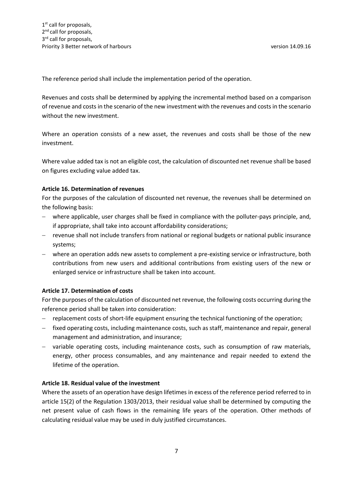The reference period shall include the implementation period of the operation.

Revenues and costs shall be determined by applying the incremental method based on a comparison of revenue and costs in the scenario of the new investment with the revenues and costs in the scenario without the new investment.

Where an operation consists of a new asset, the revenues and costs shall be those of the new investment.

Where value added tax is not an eligible cost, the calculation of discounted net revenue shall be based on figures excluding value added tax.

#### **Article 16. Determination of revenues**

For the purposes of the calculation of discounted net revenue, the revenues shall be determined on the following basis:

- where applicable, user charges shall be fixed in compliance with the polluter-pays principle, and, if appropriate, shall take into account affordability considerations;
- revenue shall not include transfers from national or regional budgets or national public insurance systems;
- where an operation adds new assets to complement a pre-existing service or infrastructure, both contributions from new users and additional contributions from existing users of the new or enlarged service or infrastructure shall be taken into account.

### **Article 17. Determination of costs**

For the purposes of the calculation of discounted net revenue, the following costs occurring during the reference period shall be taken into consideration:

- replacement costs of short-life equipment ensuring the technical functioning of the operation;
- fixed operating costs, including maintenance costs, such as staff, maintenance and repair, general management and administration, and insurance;
- variable operating costs, including maintenance costs, such as consumption of raw materials, energy, other process consumables, and any maintenance and repair needed to extend the lifetime of the operation.

#### **Article 18. Residual value of the investment**

Where the assets of an operation have design lifetimes in excess of the reference period referred to in article 15(2) of the Regulation 1303/2013, their residual value shall be determined by computing the net present value of cash flows in the remaining life years of the operation. Other methods of calculating residual value may be used in duly justified circumstances.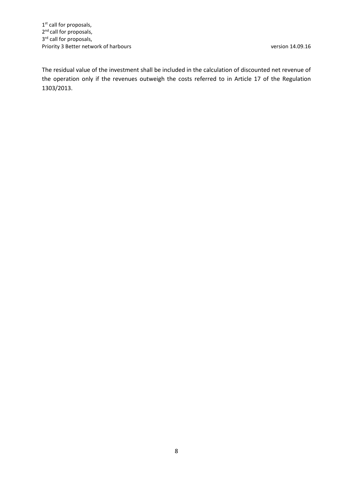The residual value of the investment shall be included in the calculation of discounted net revenue of the operation only if the revenues outweigh the costs referred to in Article 17 of the Regulation 1303/2013.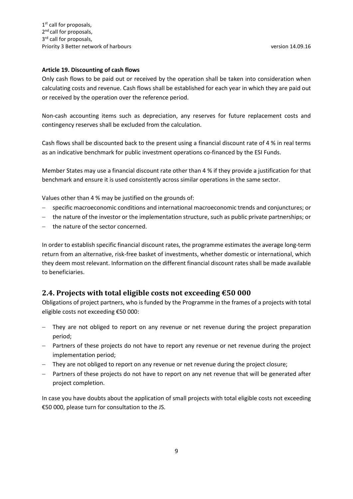1<sup>st</sup> call for proposals, 2<sup>nd</sup> call for proposals, 3<sup>rd</sup> call for proposals, Priority 3 Better network of harbours version 14.09.16

#### **Article 19. Discounting of cash flows**

Only cash flows to be paid out or received by the operation shall be taken into consideration when calculating costs and revenue. Cash flows shall be established for each year in which they are paid out or received by the operation over the reference period.

Non-cash accounting items such as depreciation, any reserves for future replacement costs and contingency reserves shall be excluded from the calculation.

Cash flows shall be discounted back to the present using a financial discount rate of 4 % in real terms as an indicative benchmark for public investment operations co-financed by the ESI Funds.

Member States may use a financial discount rate other than 4 % if they provide a justification for that benchmark and ensure it is used consistently across similar operations in the same sector.

Values other than 4 % may be justified on the grounds of:

- specific macroeconomic conditions and international macroeconomic trends and conjunctures; or
- the nature of the investor or the implementation structure, such as public private partnerships; or
- the nature of the sector concerned.

In order to establish specific financial discount rates, the programme estimates the average long-term return from an alternative, risk-free basket of investments, whether domestic or international, which they deem most relevant. Information on the different financial discount rates shall be made available to beneficiaries.

### **2.4. Projects with total eligible costs not exceeding €50 000**

Obligations of project partners, who is funded by the Programme in the frames of a projects with total eligible costs not exceeding €50 000:

- They are not obliged to report on any revenue or net revenue during the project preparation period;
- Partners of these projects do not have to report any revenue or net revenue during the project implementation period;
- They are not obliged to report on any revenue or net revenue during the project closure;
- $-$  Partners of these projects do not have to report on any net revenue that will be generated after project completion.

In case you have doubts about the application of small projects with total eligible costs not exceeding €50 000, please turn for consultation to the JS.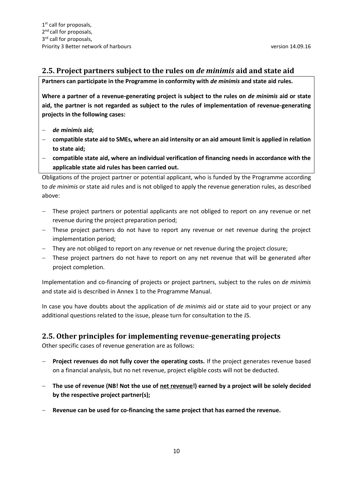### **2.5. Project partners subject to the rules on** *de minimis* **aid and state aid**

**Partners can participate in the Programme in conformity with** *de minimis* **and state aid rules.** 

**Where a partner of a revenue-generating project is subject to the rules on** *de minimis* **aid or state aid, the partner is not regarded as subject to the rules of implementation of revenue-generating projects in the following cases:**

- *de minimis* **aid;**
- **compatible state aid to SMEs, where an aid intensity or an aid amount limit is applied in relation to state aid;**
- **compatible state aid, where an individual verification of financing needs in accordance with the applicable state aid rules has been carried out.**

Obligations of the project partner or potential applicant, who is funded by the Programme according to *de minimis* or state aid rules and is not obliged to apply the revenue generation rules, as described above:

- These project partners or potential applicants are not obliged to report on any revenue or net revenue during the project preparation period;
- These project partners do not have to report any revenue or net revenue during the project implementation period;
- They are not obliged to report on any revenue or net revenue during the project closure;
- These project partners do not have to report on any net revenue that will be generated after project completion.

Implementation and co-financing of projects or project partners, subject to the rules on *de minimis* and state aid is described in Annex 1 to the Programme Manual.

In case you have doubts about the application of *de minimis* aid or state aid to your project or any additional questions related to the issue, please turn for consultation to the JS.

### **2.5. Other principles for implementing revenue-generating projects**

Other specific cases of revenue generation are as follows:

- **Project revenues do not fully cover the operating costs.** If the project generates revenue based on a financial analysis, but no net revenue, project eligible costs will not be deducted.
- **The use of revenue (NB! Not the use of net revenue!) earned by a project will be solely decided by the respective project partner(s);**
- **Revenue can be used for co-financing the same project that has earned the revenue.**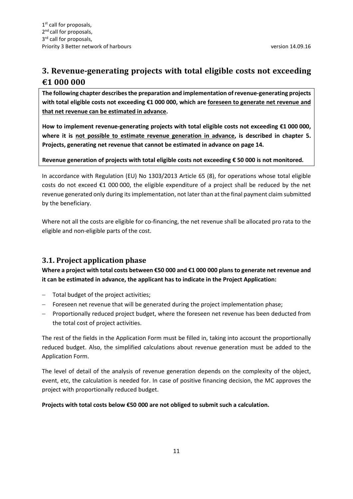# **3. Revenue-generating projects with total eligible costs not exceeding €1 000 000**

**The following chapter describes the preparation and implementation of revenue-generating projects with total eligible costs not exceeding €1 000 000, which are foreseen to generate net revenue and that net revenue can be estimated in advance.** 

**How to implement revenue-generating projects with total eligible costs not exceeding €1 000 000, where it is not possible to estimate revenue generation in advance, is described in chapter 5. Projects, generating net revenue that cannot be estimated in advance on page 14.**

### **Revenue generation of projects with total eligible costs not exceeding € 50 000 is not monitored.**

In accordance with Regulation (EU) No 1303/2013 Article 65 (8), for operations whose total eligible costs do not exceed  $\epsilon$ 1 000 000, the eligible expenditure of a project shall be reduced by the net revenue generated only during its implementation, not later than at the final payment claim submitted by the beneficiary.

Where not all the costs are eligible for co-financing, the net revenue shall be allocated pro rata to the eligible and non-eligible parts of the cost.

## **3.1. Project application phase**

**Where a project with total costs between €50 000 and €1 000 000 plans to generate net revenue and it can be estimated in advance, the applicant has to indicate in the Project Application:**

- Total budget of the project activities;
- Foreseen net revenue that will be generated during the project implementation phase;
- Proportionally reduced project budget, where the foreseen net revenue has been deducted from the total cost of project activities.

The rest of the fields in the Application Form must be filled in, taking into account the proportionally reduced budget. Also, the simplified calculations about revenue generation must be added to the Application Form.

The level of detail of the analysis of revenue generation depends on the complexity of the object, event, etc, the calculation is needed for. In case of positive financing decision, the MC approves the project with proportionally reduced budget.

**Projects with total costs below €50 000 are not obliged to submit such a calculation.**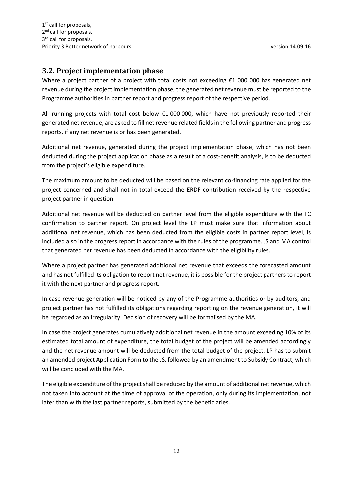## **3.2. Project implementation phase**

Where a project partner of a project with total costs not exceeding €1 000 000 has generated net revenue during the project implementation phase, the generated net revenue must be reported to the Programme authorities in partner report and progress report of the respective period.

All running projects with total cost below  $\epsilon$ 1 000 000, which have not previously reported their generated net revenue, are asked to fill net revenue related fields in the following partner and progress reports, if any net revenue is or has been generated.

Additional net revenue, generated during the project implementation phase, which has not been deducted during the project application phase as a result of a cost-benefit analysis, is to be deducted from the project's eligible expenditure.

The maximum amount to be deducted will be based on the relevant co-financing rate applied for the project concerned and shall not in total exceed the ERDF contribution received by the respective project partner in question.

Additional net revenue will be deducted on partner level from the eligible expenditure with the FC confirmation to partner report. On project level the LP must make sure that information about additional net revenue, which has been deducted from the eligible costs in partner report level, is included also in the progress report in accordance with the rules of the programme. JS and MA control that generated net revenue has been deducted in accordance with the eligibility rules.

Where a project partner has generated additional net revenue that exceeds the forecasted amount and has not fulfilled its obligation to report net revenue, it is possible for the project partners to report it with the next partner and progress report.

In case revenue generation will be noticed by any of the Programme authorities or by auditors, and project partner has not fulfilled its obligations regarding reporting on the revenue generation, it will be regarded as an irregularity. Decision of recovery will be formalised by the MA.

In case the project generates cumulatively additional net revenue in the amount exceeding 10% of its estimated total amount of expenditure, the total budget of the project will be amended accordingly and the net revenue amount will be deducted from the total budget of the project. LP has to submit an amended project Application Form to the JS, followed by an amendment to Subsidy Contract, which will be concluded with the MA.

The eligible expenditure of the project shall be reduced by the amount of additional net revenue, which not taken into account at the time of approval of the operation, only during its implementation, not later than with the last partner reports, submitted by the beneficiaries.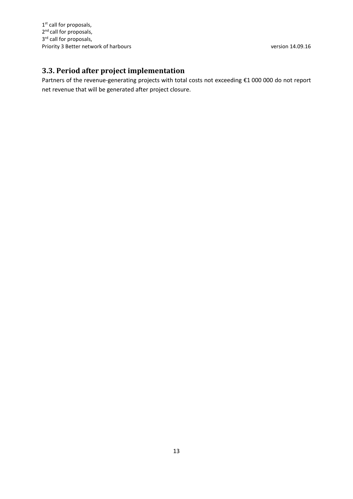1<sup>st</sup> call for proposals, 2<sup>nd</sup> call for proposals, 3<sup>rd</sup> call for proposals, Priority 3 Better network of harbours and the state of the state of the version 14.09.16

# **3.3. Period after project implementation**

Partners of the revenue-generating projects with total costs not exceeding €1 000 000 do not report net revenue that will be generated after project closure.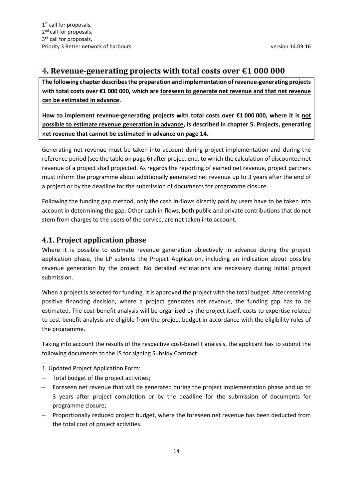## **4. Revenue-generating projects with total costs over €1 000 000**

**The following chapter describes the preparation and implementation of revenue-generating projects with total costs over €1 000 000, which are foreseen to generate net revenue and that net revenue can be estimated in advance.** 

**How to implement revenue-generating projects with total costs over €1 000 000, where it is not possible to estimate revenue generation in advance, is described in chapter 5. Projects, generating net revenue that cannot be estimated in advance on page 14.**

Generating net revenue must be taken into account during project implementation and during the reference period (see the table on page 6) after project end, to which the calculation of discounted net revenue of a project shall projected. As regards the reporting of earned net revenue, project partners must inform the programme about additionally generated net revenue up to 3 years after the end of a project or by the deadline for the submission of documents for programme closure.

Following the funding gap method, only the cash in-flows directly paid by users have to be taken into account in determining the gap. Other cash in-flows, both public and private contributions that do not stem from charges to the users of the service, are not taken into account.

## **4.1. Project application phase**

Where it is possible to estimate revenue generation objectively in advance during the project application phase, the LP submits the Project Application, including an indication about possible revenue generation by the project. No detailed estimations are necessary during initial project submission.

When a project is selected for funding, it is approved the project with the total budget. After receiving positive financing decision, where a project generates net revenue, the funding gap has to be estimated. The cost-benefit analysis will be organised by the project itself, costs to expertise related to cost-benefit analysis are eligible from the project budget in accordance with the eligibility rules of the programme.

Taking into account the results of the respective cost-benefit analysis, the applicant has to submit the following documents to the JS for signing Subsidy Contract:

- 1. Updated Project Application Form:
- $-$  Total budget of the project activities;
- Foreseen net revenue that will be generated during the project implementation phase and up to 3 years after project completion or by the deadline for the submission of documents for programme closure;
- Proportionally reduced project budget, where the foreseen net revenue has been deducted from the total cost of project activities.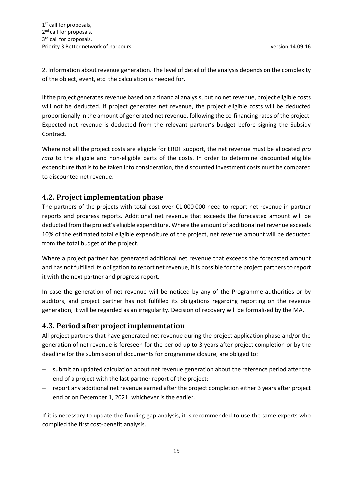2. Information about revenue generation. The level of detail of the analysis depends on the complexity of the object, event, etc. the calculation is needed for.

If the project generates revenue based on a financial analysis, but no net revenue, project eligible costs will not be deducted. If project generates net revenue, the project eligible costs will be deducted proportionally in the amount of generated net revenue, following the co-financing rates of the project. Expected net revenue is deducted from the relevant partner's budget before signing the Subsidy Contract.

Where not all the project costs are eligible for ERDF support, the net revenue must be allocated *pro rata* to the eligible and non-eligible parts of the costs. In order to determine discounted eligible expenditure that is to be taken into consideration, the discounted investment costs must be compared to discounted net revenue.

## **4.2. Project implementation phase**

The partners of the projects with total cost over €1 000 000 need to report net revenue in partner reports and progress reports. Additional net revenue that exceeds the forecasted amount will be deducted from the project's eligible expenditure. Where the amount of additional net revenue exceeds 10% of the estimated total eligible expenditure of the project, net revenue amount will be deducted from the total budget of the project.

Where a project partner has generated additional net revenue that exceeds the forecasted amount and has not fulfilled its obligation to report net revenue, it is possible for the project partners to report it with the next partner and progress report.

In case the generation of net revenue will be noticed by any of the Programme authorities or by auditors, and project partner has not fulfilled its obligations regarding reporting on the revenue generation, it will be regarded as an irregularity. Decision of recovery will be formalised by the MA.

## **4.3. Period after project implementation**

All project partners that have generated net revenue during the project application phase and/or the generation of net revenue is foreseen for the period up to 3 years after project completion or by the deadline for the submission of documents for programme closure, are obliged to:

- submit an updated calculation about net revenue generation about the reference period after the end of a project with the last partner report of the project;
- report any additional net revenue earned after the project completion either 3 years after project end or on December 1, 2021, whichever is the earlier.

If it is necessary to update the funding gap analysis, it is recommended to use the same experts who compiled the first cost-benefit analysis.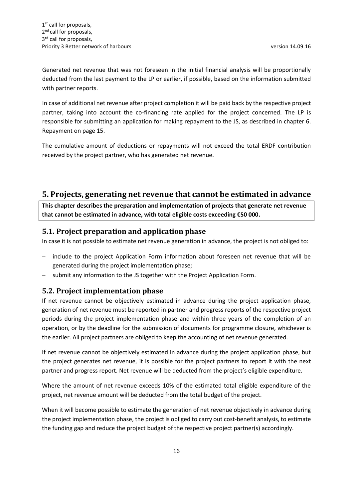Generated net revenue that was not foreseen in the initial financial analysis will be proportionally deducted from the last payment to the LP or earlier, if possible, based on the information submitted with partner reports.

In case of additional net revenue after project completion it will be paid back by the respective project partner, taking into account the co-financing rate applied for the project concerned. The LP is responsible for submitting an application for making repayment to the JS, as described in chapter 6. Repayment on page 15.

The cumulative amount of deductions or repayments will not exceed the total ERDF contribution received by the project partner, who has generated net revenue.

## **5. Projects, generating net revenue that cannot be estimated in advance**

**This chapter describes the preparation and implementation of projects that generate net revenue that cannot be estimated in advance, with total eligible costs exceeding €50 000.** 

## **5.1. Project preparation and application phase**

In case it is not possible to estimate net revenue generation in advance, the project is not obliged to:

- include to the project Application Form information about foreseen net revenue that will be generated during the project implementation phase;
- submit any information to the JS together with the Project Application Form.

## **5.2. Project implementation phase**

If net revenue cannot be objectively estimated in advance during the project application phase, generation of net revenue must be reported in partner and progress reports of the respective project periods during the project implementation phase and within three years of the completion of an operation, or by the deadline for the submission of documents for programme closure, whichever is the earlier. All project partners are obliged to keep the accounting of net revenue generated.

If net revenue cannot be objectively estimated in advance during the project application phase, but the project generates net revenue, it is possible for the project partners to report it with the next partner and progress report. Net revenue will be deducted from the project's eligible expenditure.

Where the amount of net revenue exceeds 10% of the estimated total eligible expenditure of the project, net revenue amount will be deducted from the total budget of the project.

When it will become possible to estimate the generation of net revenue objectively in advance during the project implementation phase, the project is obliged to carry out cost-benefit analysis, to estimate the funding gap and reduce the project budget of the respective project partner(s) accordingly.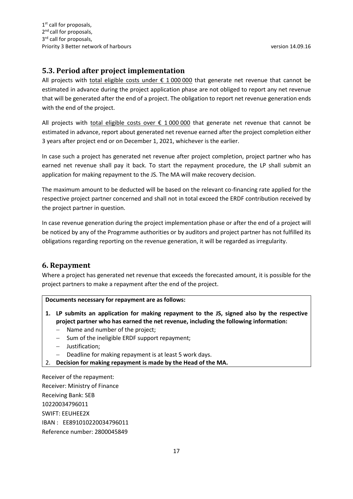1<sup>st</sup> call for proposals, 2<sup>nd</sup> call for proposals, 3<sup>rd</sup> call for proposals, Priority 3 Better network of harbours version 14.09.16

## **5.3. Period after project implementation**

All projects with total eligible costs under  $\epsilon$  1 000 000 that generate net revenue that cannot be estimated in advance during the project application phase are not obliged to report any net revenue that will be generated after the end of a project. The obligation to report net revenue generation ends with the end of the project.

All projects with total eligible costs over  $\epsilon$  1 000 000 that generate net revenue that cannot be estimated in advance, report about generated net revenue earned after the project completion either 3 years after project end or on December 1, 2021, whichever is the earlier.

In case such a project has generated net revenue after project completion, project partner who has earned net revenue shall pay it back. To start the repayment procedure, the LP shall submit an application for making repayment to the JS. The MA will make recovery decision.

The maximum amount to be deducted will be based on the relevant co-financing rate applied for the respective project partner concerned and shall not in total exceed the ERDF contribution received by the project partner in question.

In case revenue generation during the project implementation phase or after the end of a project will be noticed by any of the Programme authorities or by auditors and project partner has not fulfilled its obligations regarding reporting on the revenue generation, it will be regarded as irregularity.

### **6. Repayment**

Where a project has generated net revenue that exceeds the forecasted amount, it is possible for the project partners to make a repayment after the end of the project.

#### **Documents necessary for repayment are as follows:**

- **1. LP submits an application for making repayment to the JS, signed also by the respective project partner who has earned the net revenue, including the following information:**
	- Name and number of the project;
	- $-$  Sum of the ineligible ERDF support repayment;
	- Justification:
	- Deadline for making repayment is at least 5 work days.
- 2. **Decision for making repayment is made by the Head of the MA.**

Receiver of the repayment: Receiver: Ministry of Finance Receiving Bank: SEB 10220034796011 SWIFT: EEUHEE2X IBAN : EE891010220034796011 Reference number: 2800045849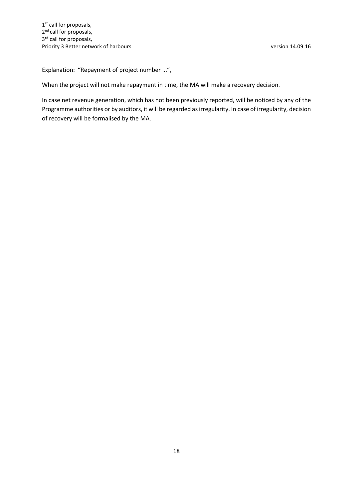Explanation: "Repayment of project number ...",

When the project will not make repayment in time, the MA will make a recovery decision.

In case net revenue generation, which has not been previously reported, will be noticed by any of the Programme authorities or by auditors, it will be regarded as irregularity. In case of irregularity, decision of recovery will be formalised by the MA.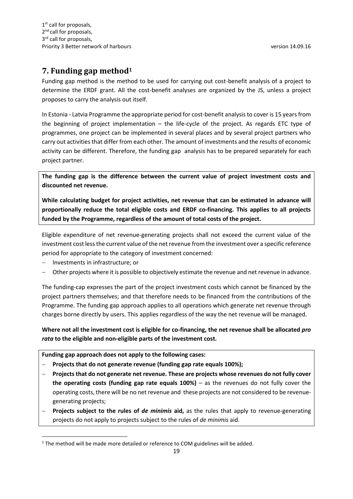# **7. Funding gap method<sup>1</sup>**

Funding gap method is the method to be used for carrying out cost-benefit analysis of a project to determine the ERDF grant. All the cost-benefit analyses are organized by the JS, unless a project proposes to carry the analysis out itself.

In Estonia - Latvia Programme the appropriate period for cost-benefit analysis to cover is 15 years from the beginning of project implementation – the life-cycle of the project. As regards ETC type of programmes, one project can be implemented in several places and by several project partners who carry out activities that differ from each other. The amount of investments and the results of economic activity can be different. Therefore, the funding gap analysis has to be prepared separately for each project partner.

**The funding gap is the difference between the current value of project investment costs and discounted net revenue.**

**While calculating budget for project activities, net revenue that can be estimated in advance will proportionally reduce the total eligible costs and ERDF co-financing. This applies to all projects funded by the Programme, regardless of the amount of total costs of the project.** 

Eligible expenditure of net revenue-generating projects shall not exceed the current value of the investment cost less the current value of the net revenue from the investment over a specific reference period for appropriate to the category of investment concerned:

Investments in infrastructure; or

**.** 

Other projects where it is possible to objectively estimate the revenue and net revenue in advance.

The funding-cap expresses the part of the project investment costs which cannot be financed by the project partners themselves; and that therefore needs to be financed from the contributions of the Programme. The funding gap approach applies to all operations which generate net revenue through charges borne directly by users. This applies regardless of the way the net revenue will be managed.

### **Where not all the investment cost is eligible for co-financing, the net revenue shall be allocated** *pro rata* **to the eligible and non-eligible parts of the investment cost.**

**Funding gap approach does not apply to the following cases:**

- **Projects that do not generate revenue (funding gap rate equals 100%);**
- **Projects that do not generate net revenue. These are projects whose revenues do not fully cover the operating costs (funding gap rate equals 100%)** – as the revenues do not fully cover the operating costs, there will be no net revenue and these projects are not considered to be revenuegenerating projects;
- **Projects subject to the rules of** *de minimis* **aid,** as the rules that apply to revenue-generating projects do not apply to projects subject to the rules of *de minimis* aid.

<sup>&</sup>lt;sup>1</sup> The method will be made more detailed or reference to COM guidelines will be added.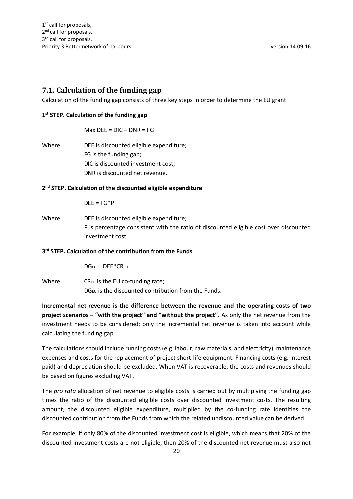## **7.1. Calculation of the funding gap**

Calculation of the funding gap consists of three key steps in order to determine the EU grant:

### **1 st STEP. Calculation of the funding gap**

Max  $DEF = DIC - DNR = FG$ 

Where: DEE is discounted eligible expenditure; FG is the funding gap; DIC is discounted investment cost; DNR is discounted net revenue.

#### **2 nd STEP. Calculation of the discounted eligible expenditure**

 $DEE = FG*P$ 

Where: DEE is discounted eligible expenditure; P is percentage consistent with the ratio of discounted eligible cost over discounted investment cost.

#### **3 rd STEP. Calculation of the contribution from the Funds**

 $DG_{EU} = DEE*CR_{EU}$ 

Where:  $CR_{EU}$  is the EU co-funding rate; DG<sub>EU</sub> is the discounted contribution from the Funds.

**Incremental net revenue is the difference between the revenue and the operating costs of two project scenarios – "with the project" and "without the project".** As only the net revenue from the investment needs to be considered; only the incremental net revenue is taken into account while calculating the funding gap.

The calculations should include running costs (e.g. labour, raw materials, and electricity), maintenance expenses and costs for the replacement of project short-life equipment. Financing costs (e.g. interest paid) and depreciation should be excluded. When VAT is recoverable, the costs and revenues should be based on figures excluding VAT.

The *pro rata* allocation of net revenue to eligible costs is carried out by multiplying the funding gap times the ratio of the discounted eligible costs over discounted investment costs. The resulting amount, the discounted eligible expenditure, multiplied by the co-funding rate identifies the discounted contribution from the Funds from which the related undiscounted value can be derived.

For example, if only 80% of the discounted investment cost is eligible, which means that 20% of the discounted investment costs are not eligible, then 20% of the discounted net revenue must also not